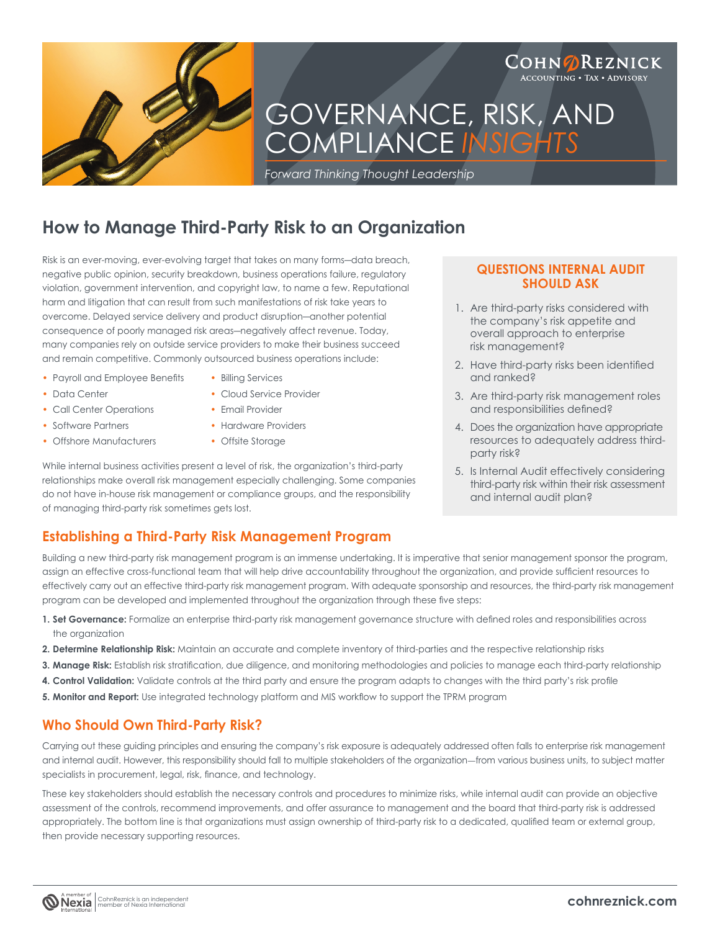

# GOVERNANCE, RISK, AND COMPLIANCE *INSIGHTS*

*Forward Thinking Thought Leadership*

# **How to Manage Third-Party Risk to an Organization**

Risk is an ever-moving, ever-evolving target that takes on many forms―data breach, negative public opinion, security breakdown, business operations failure, regulatory violation, government intervention, and copyright law, to name a few. Reputational harm and litigation that can result from such manifestations of risk take years to overcome. Delayed service delivery and product disruption―another potential consequence of poorly managed risk areas―negatively affect revenue. Today, many companies rely on outside service providers to make their business succeed and remain competitive. Commonly outsourced business operations include:

- Payroll and Employee Benefits Billing Services
	-
- Data Center Cloud Service Provider
- Call Center Operations Email Provider
- 
- Offshore Manufacturers Offsite Storage
- 
- 
- Software Partners Hardware Providers
	-

While internal business activities present a level of risk, the organization's third-party relationships make overall risk management especially challenging. Some companies do not have in-house risk management or compliance groups, and the responsibility of managing third-party risk sometimes gets lost.

### **QUESTIONS INTERNAL AUDIT SHOULD ASK**

COHN**ØREZNICK ACCOUNTING . TAX . ADVISORY** 

- 1. Are third-party risks considered with the company's risk appetite and overall approach to enterprise risk management?
- 2. Have third-party risks been identified and ranked?
- 3. Are third-party risk management roles and responsibilities defined?
- 4. Does the organization have appropriate resources to adequately address thirdparty risk?
- 5. Is Internal Audit effectively considering third-party risk within their risk assessment and internal audit plan?

## **Establishing a Third-Party Risk Management Program**

Building a new third-party risk management program is an immense undertaking. It is imperative that senior management sponsor the program, assign an effective cross-functional team that will help drive accountability throughout the organization, and provide sufficient resources to effectively carry out an effective third-party risk management program. With adequate sponsorship and resources, the third-party risk management program can be developed and implemented throughout the organization through these five steps:

- 1. Set Governance: Formalize an enterprise third-party risk management governance structure with defined roles and responsibilities across the organization
- **2. Determine Relationship Risk:** Maintain an accurate and complete inventory of third-parties and the respective relationship risks
- 3. Manage Risk: Establish risk stratification, due diligence, and monitoring methodologies and policies to manage each third-party relationship
- 4. Control Validation: Validate controls at the third party and ensure the program adapts to changes with the third party's risk profile
- 5. Monitor and Report: Use integrated technology platform and MIS workflow to support the TPRM program

## **Who Should Own Third-Party Risk?**

Carrying out these guiding principles and ensuring the company's risk exposure is adequately addressed often falls to enterprise risk management and internal audit. However, this responsibility should fall to multiple stakeholders of the organization—from various business units, to subject matter specialists in procurement, legal, risk, finance, and technology.

These key stakeholders should establish the necessary controls and procedures to minimize risks, while internal audit can provide an objective assessment of the controls, recommend improvements, and offer assurance to management and the board that third-party risk is addressed appropriately. The bottom line is that organizations must assign ownership of third-party risk to a dedicated, qualified team or external group, then provide necessary supporting resources.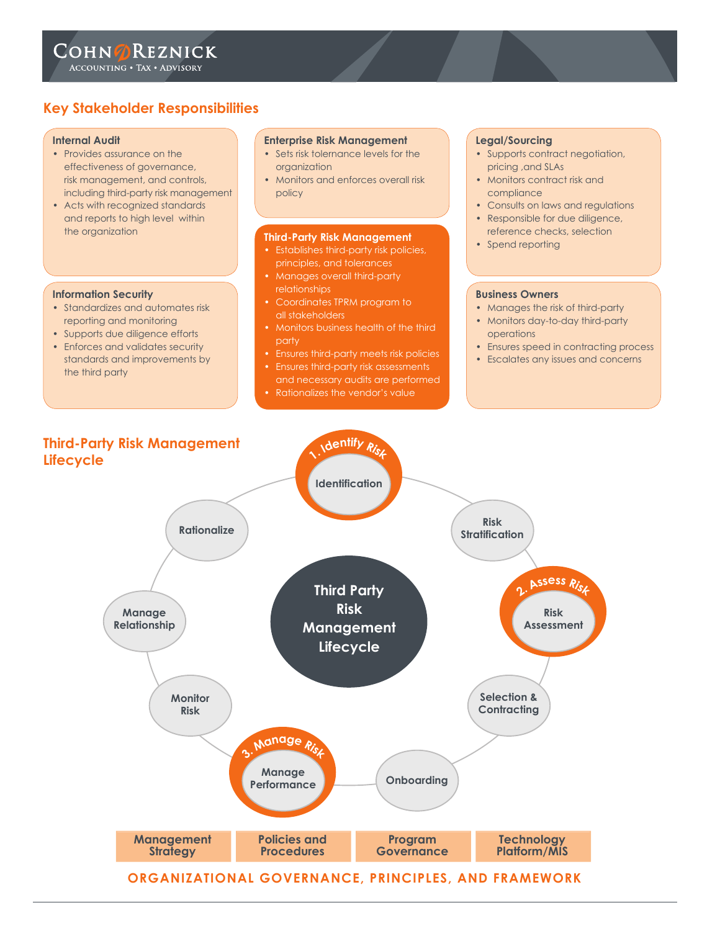# **Key Stakeholder Responsibilities**

#### **Internal Audit**

- Provides assurance on the effectiveness of governance, risk management, and controls, including third-party risk management
- Acts with recognized standards and reports to high level within the organization

#### **Information Security**

- Standardizes and automates risk reporting and monitoring
- Supports due diligence efforts
- Enforces and validates security standards and improvements by the third party

#### **Enterprise Risk Management**

- Sets risk tolernance levels for the organization
- Monitors and enforces overall risk policy

#### **Third-Party Risk Management**

- Establishes third-party risk policies, principles, and tolerances
- Manages overall third-party relationships
- Coordinates TPRM program to all stakeholders
- Monitors business health of the third party
- Ensures third-party meets risk policies
- 
- Rationalizes the vendor's value

#### **Legal/Sourcing**

- Supports contract negotiation, pricing ,and SLAs
- Monitors contract risk and compliance
- Consults on laws and regulations
- Responsible for due diligence, reference checks, selection
- Spend reporting

#### **Business Owners**

- Manages the risk of third-party
- Monitors day-to-day third-party operations
- Ensures speed in contracting process
- Escalates any issues and concerns

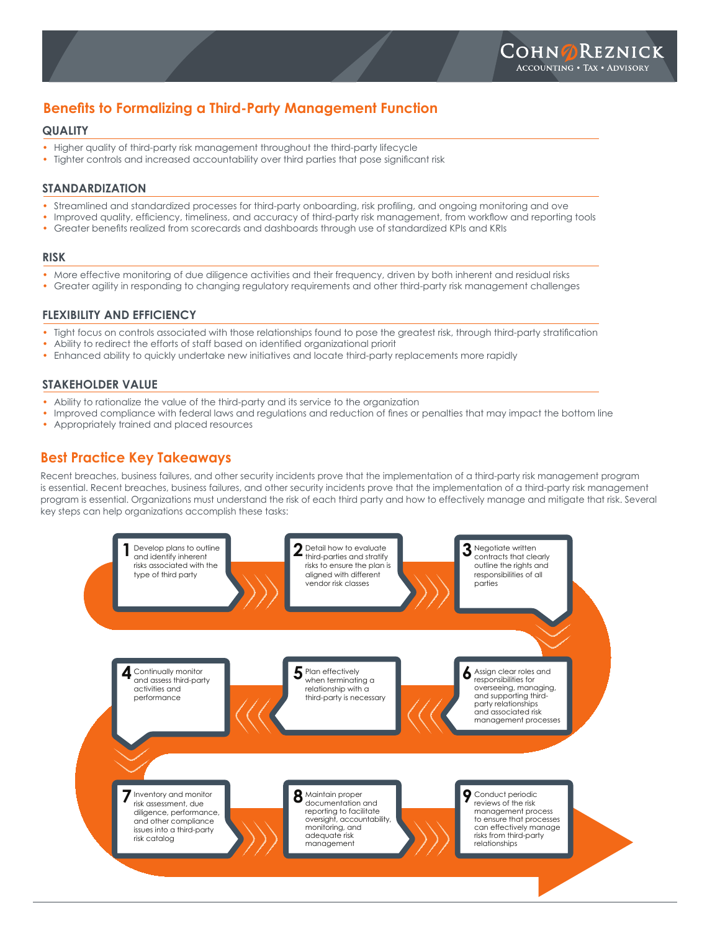# **Benefits to Formalizing a Third-Party Management Function**

### **QUALITY**

- Higher quality of third-party risk management throughout the third-party lifecycle
- Tighter controls and increased accountability over third parties that pose significant risk

### **STANDARDIZATION**

- Streamlined and standardized processes for third-party onboarding, risk profiling, and ongoing monitoring and ove
- Improved quality, efficiency, timeliness, and accuracy of third-party risk management, from workflow and reporting tools
- Greater benefits realized from scorecards and dashboards through use of standardized KPIs and KRIs

#### **RISK**

- More effective monitoring of due diligence activities and their frequency, driven by both inherent and residual risks
- Greater agility in responding to changing regulatory requirements and other third-party risk management challenges

### **FLEXIBILITY AND EFFICIENCY**

- Tight focus on controls associated with those relationships found to pose the greatest risk, through third-party stratification
- Ability to redirect the efforts of staff based on identified organizational priorit
- Enhanced ability to quickly undertake new initiatives and locate third-party replacements more rapidly

### **STAKEHOLDER VALUE**

- Ability to rationalize the value of the third-party and its service to the organization
- Improved compliance with federal laws and regulations and reduction of fines or penalties that may impact the bottom line
- Appropriately trained and placed resources

# **Best Practice Key Takeaways**

Recent breaches, business failures, and other security incidents prove that the implementation of a third-party risk management program is essential. Recent breaches, business failures, and other security incidents prove that the implementation of a third-party risk management program is essential. Organizations must understand the risk of each third party and how to effectively manage and mitigate that risk. Several key steps can help organizations accomplish these tasks: